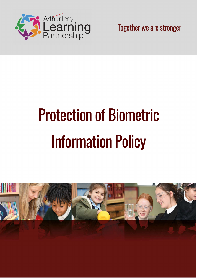

Together we are stronger

# Protection of Biometric Information Policy

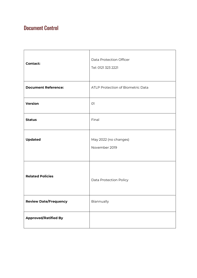## Document Control

| <b>Contact:</b>              | <b>Data Protection Officer</b><br>Tel: 0121 323 2221 |
|------------------------------|------------------------------------------------------|
| <b>Document Reference:</b>   | ATLP Protection of Biometric Data                    |
| Version                      | O <sub>1</sub>                                       |
| <b>Status</b>                | Final                                                |
| <b>Updated</b>               | May 2022 (no changes)<br>November 2019               |
| <b>Related Policies</b>      | Data Protection Policy                               |
| <b>Review Date/Frequency</b> | Biannually                                           |
| <b>Approved/Ratified By</b>  |                                                      |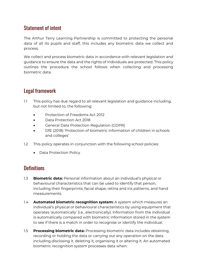## Statement of intent

The Arthur Terry Learning Partnership is committed to protecting the personal data of all its pupils and staff, this includes any biometric data we collect and process.

We collect and process biometric data in accordance with relevant legislation and guidance to ensure the data and the rights of individuals are protected. This policy outlines the procedure the school follows when collecting and processing biometric data.

## Legal framework

- 1.1 This policy has due regard to all relevant legislation and guidance including, but not limited to, the following:
	- Protection of Freedoms Act 2012
	- Data Protection Act 2018
	- General Data Protection Regulation (GDPR)
	- DfE (2018) 'Protection of biometric information of children in schools and colleges'
- 1.2 This policy operates in conjunction with the following school policies:
	- Data Protection Policy

## **Definitions**

- 1.3 Biometric data: Personal information about an individual's physical or behavioural characteristics that can be used to identify that person, including their fingerprints, facial shape, retina and iris patterns, and hand measurements.
- 1.4 **Automated biometric recognition system:** A system which measures an individual's physical or behavioural characteristics by using equipment that operates 'automatically' (i.e., electronically). Information from the individual is automatically compared with biometric information stored in the system to see if there is a match in order to recognise or identify the individual.
- 1.5 Processing biometric data: Processing biometric data includes obtaining, recording or holding the data or carrying out any operation on the data including disclosing it, deleting it, organising it or altering it. An automated biometric recognition system processes data when: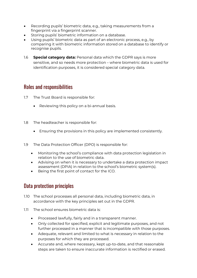- Recording pupils' biometric data, e.g., taking measurements from a fingerprint via a fingerprint scanner.
- Storing pupils' biometric information on a database.
- Using pupils' biometric data as part of an electronic process, e.g., by comparing it with biometric information stored on a database to identify or recognise pupils.
- 1.6 **Special category data:** Personal data which the GDPR says is more sensitive, and so needs more protection – where biometric data is used for identification purposes, it is considered special category data.

## Roles and responsibilities

- 1.7 The Trust Board is responsible for:
	- Reviewing this policy on a bi-annual basis.
- 1.8 The headteacher is responsible for:
	- Ensuring the provisions in this policy are implemented consistently.
- 1.9 The Data Protection Officer (DPO) is responsible for:
	- Monitoring the school's compliance with data protection legislation in relation to the use of biometric data.
	- Advising on when it is necessary to undertake a data protection impact assessment (DPIA) in relation to the school's biometric system(s).
	- Being the first point of contact for the ICO.

## Data protection principles

- 1.10 The school processes all personal data, including biometric data, in accordance with the key principles set out in the GDPR.
- 1.11 The school ensures biometric data is:
	- Processed lawfully, fairly and in a transparent manner.
	- Only collected for specified, explicit and legitimate purposes, and not further processed in a manner that is incompatible with those purposes.
	- Adequate, relevant and limited to what is necessary in relation to the purposes for which they are processed.
	- Accurate and, where necessary, kept up-to-date, and that reasonable steps are taken to ensure inaccurate information is rectified or erased.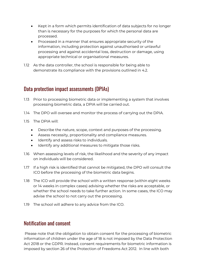- Kept in a form which permits identification of data subjects for no longer than is necessary for the purposes for which the personal data are processed.
- Processed in a manner that ensures appropriate security of the information, including protection against unauthorised or unlawful processing and against accidental loss, destruction or damage, using appropriate technical or organisational measures.
- 1.12 As the data controller, the school is responsible for being able to demonstrate its compliance with the provisions outlined in 4.2.

#### Data protection impact assessments (DPIAs)

- 1.13 Prior to processing biometric data or implementing a system that involves processing biometric data, a DPIA will be carried out.
- 1.14 The DPO will oversee and monitor the process of carrying out the DPIA.
- 1.15 The DPIA will:
	- Describe the nature, scope, context and purposes of the processing.
	- Assess necessity, proportionality and compliance measures.
	- Identify and assess risks to individuals.
	- Identify any additional measures to mitigate those risks.
- 1.16 When assessing levels of risk, the likelihood and the severity of any impact on individuals will be considered.
- 1.17 If a high risk is identified that cannot be mitigated, the DPO will consult the ICO before the processing of the biometric data begins.
- 1.18 The ICO will provide the school with a written response (within eight weeks or 14 weeks in complex cases) advising whether the risks are acceptable, or whether the school needs to take further action. In some cases, the ICO may advise the school to not carry out the processing.
- 1.19 The school will adhere to any advice from the ICO.

#### Notification and consent

 Please note that the obligation to obtain consent for the processing of biometric information of children under the age of 18 is not imposed by the Data Protection Act 2018 or the GDPR. Instead, consent requirements for biometric information is imposed by section 26 of the Protection of Freedoms Act 2012. In line with both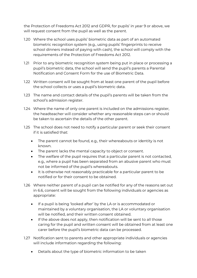the Protection of Freedoms Act 2012 and GDPR, for pupils' in year 9 or above, we will request consent from the pupil as well as the parent.

- 1.20 Where the school uses pupils' biometric data as part of an automated biometric recognition system (e.g., using pupils' fingerprints to receive school dinners instead of paying with cash), the school will comply with the requirements of the Protection of Freedoms Act 2012.
- 1.21 Prior to any biometric recognition system being put in place or processing a pupil's biometric data, the school will send the pupil's parents a Parental Notification and Consent Form for the use of Biometric Data.
- 1.22 Written consent will be sought from at least one parent of the pupil before the school collects or uses a pupil's biometric data.
- 1.23 The name and contact details of the pupil's parents will be taken from the school's admission register.
- 1.24 Where the name of only one parent is included on the admissions register, the headteacher will consider whether any reasonable steps can or should be taken to ascertain the details of the other parent.
- 1.25 The school does not need to notify a particular parent or seek their consent if it is satisfied that:
	- The parent cannot be found, e.g., their whereabouts or identity is not known.
	- The parent lacks the mental capacity to object or consent.
	- The welfare of the pupil requires that a particular parent is not contacted, e.g., where a pupil has been separated from an abusive parent who must not be informed of the pupil's whereabouts.
	- It is otherwise not reasonably practicable for a particular parent to be notified or for their consent to be obtained.
- 1.26 Where neither parent of a pupil can be notified for any of the reasons set out in 6.6, consent will be sought from the following individuals or agencies as appropriate:
	- If a pupil is being 'looked after' by the LA or is accommodated or maintained by a voluntary organisation, the LA or voluntary organisation will be notified, and their written consent obtained.
	- If the above does not apply, then notification will be sent to all those caring for the pupil and written consent will be obtained from at least one carer before the pupil's biometric data can be processed.
- 1.27 Notification sent to parents and other appropriate individuals or agencies will include information regarding the following:
	- Details about the type of biometric information to be taken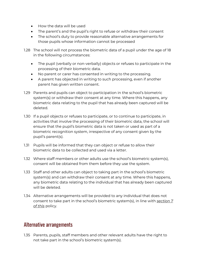- How the data will be used
- The parent's and the pupil's right to refuse or withdraw their consent
- The school's duty to provide reasonable alternative arrangements for those pupils whose information cannot be processed

1.28 The school will not process the biometric data of a pupil under the age of 18 in the following circumstances:

- The pupil (verbally or non-verbally) objects or refuses to participate in the processing of their biometric data.
- No parent or carer has consented in writing to the processing.
- A parent has objected in writing to such processing, even if another parent has given written consent.
- 1.29 Parents and pupils can object to participation in the school's biometric system(s) or withdraw their consent at any time. Where this happens, any biometric data relating to the pupil that has already been captured will be deleted.
- 1.30 If a pupil objects or refuses to participate, or to continue to participate, in activities that involve the processing of their biometric data, the school will ensure that the pupil's biometric data is not taken or used as part of a biometric recognition system, irrespective of any consent given by the pupil's parent(s).
- 1.31 Pupils will be informed that they can object or refuse to allow their biometric data to be collected and used via a letter.
- 1.32 Where staff members or other adults use the school's biometric system(s), consent will be obtained from them before they use the system.
- 1.33 Staff and other adults can object to taking part in the school's biometric system(s) and can withdraw their consent at any time. Where this happens, any biometric data relating to the individual that has already been captured will be deleted.
- 1.34 Alternative arrangements will be provided to any individual that does not consent to take part in the school's biometric system(s), in line with section 7 of this policy.

## Alternative arrangements

1.35 Parents, pupils, staff members and other relevant adults have the right to not take part in the school's biometric system(s).